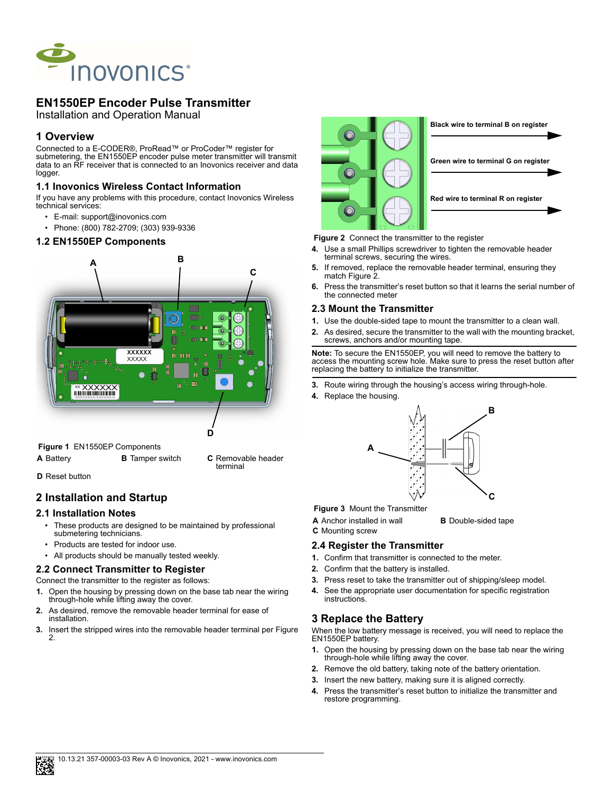

# **EN1550EP Encoder Pulse Transmitter**

Installation and Operation Manual

### **1 Overview**

Connected to a E-CODER®, ProRead™ or ProCoder™ register for submetering, the EN1550EP encoder pulse meter transmitter will transmit data to an RF receiver that is connected to an Inovonics receiver and data logger.

### **1.1 Inovonics Wireless Contact Information**

If you have any problems with this procedure, contact Inovonics Wireless technical services:

- E-mail: support@inovonics.com
- Phone: (800) 782-2709; (303) 939-9336

#### **1.2 EN1550EP Components**



 **Figure 1** EN1550EP Components

- **A** Battery **B** Tamper switch **C** Removable header
- **D** Reset button

## **2 Installation and Startup**

#### **2.1 Installation Notes**

These products are designed to be maintained by professional submetering technicians.

terminal

- Products are tested for indoor use.
- All products should be manually tested weekly.

### **2.2 Connect Transmitter to Register**

Connect the transmitter to the register as follows:

- **1.** Open the housing by pressing down on the base tab near the wiring through-hole while lifting away the cover.
- **2.** As desired, remove the removable header terminal for ease of installation.
- **3.** Insert the stripped wires into the removable header terminal per Figure 2.





#### **Figure 2** Connect the transmitter to the register

- **4.** Use a small Phillips screwdriver to tighten the removable header terminal screws, securing the wires.
- **5.** If removed, replace the removable header terminal, ensuring they match Figure 2.
- **6.** Press the transmitter's reset button so that it learns the serial number of the connected meter

#### **2.3 Mount the Transmitter**

- **1.** Use the double-sided tape to mount the transmitter to a clean wall.
- **2.** As desired, secure the transmitter to the wall with the mounting bracket, screws, anchors and/or mounting tape.

**Note:** To secure the EN1550EP, you will need to remove the battery to access the mounting screw hole. Make sure to press the reset button after replacing the battery to initialize the transmitter.

- **3.** Route wiring through the housing's access wiring through-hole.
- **4.** Replace the housing.



#### **Figure 3** Mount the Transmitter

- **A** Anchor installed in wall **B** Double-sided tape
- **C** Mounting screw

#### **2.4 Register the Transmitter**

- **1.** Confirm that transmitter is connected to the meter.
- **2.** Confirm that the battery is installed.
- **3.** Press reset to take the transmitter out of shipping/sleep model.
- **4.** See the appropriate user documentation for specific registration instructions.

## **3 Replace the Battery**

When the low battery message is received, you will need to replace the EN1550EP battery.

- **1.** Open the housing by pressing down on the base tab near the wiring through-hole while lifting away the cover.
- **2.** Remove the old battery, taking note of the battery orientation.
- **3.** Insert the new battery, making sure it is aligned correctly.
- **4.** Press the transmitter's reset button to initialize the transmitter and restore programming.